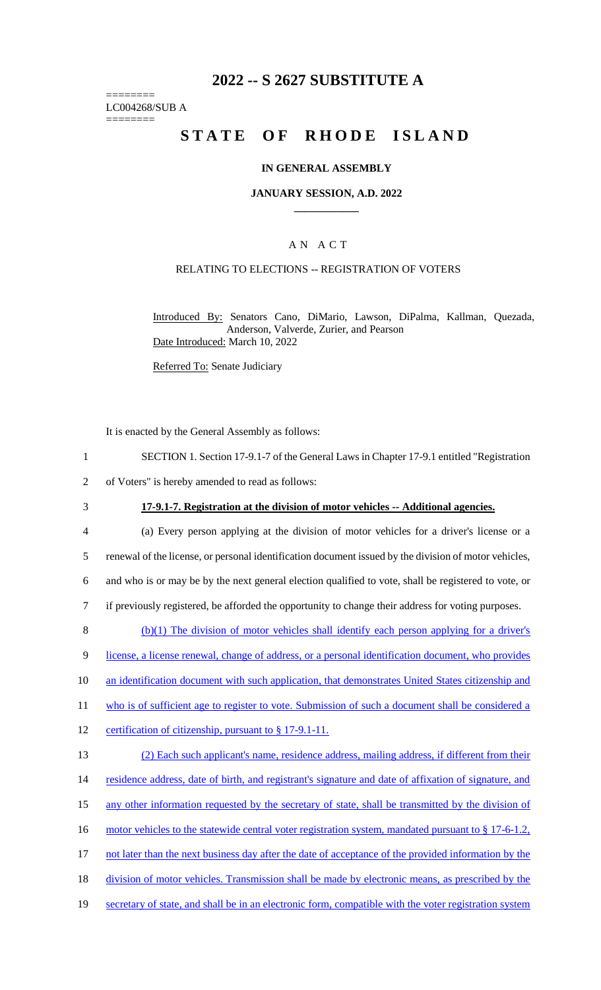# **2022 -- S 2627 SUBSTITUTE A**

======== LC004268/SUB A ========

# **STATE OF RHODE ISLAND**

#### **IN GENERAL ASSEMBLY**

#### **JANUARY SESSION, A.D. 2022 \_\_\_\_\_\_\_\_\_\_\_\_**

## A N A C T

### RELATING TO ELECTIONS -- REGISTRATION OF VOTERS

Introduced By: Senators Cano, DiMario, Lawson, DiPalma, Kallman, Quezada, Anderson, Valverde, Zurier, and Pearson Date Introduced: March 10, 2022

Referred To: Senate Judiciary

It is enacted by the General Assembly as follows:

- 1 SECTION 1. Section 17-9.1-7 of the General Laws in Chapter 17-9.1 entitled "Registration
- 2 of Voters" is hereby amended to read as follows:
- 

#### 3 **17-9.1-7. Registration at the division of motor vehicles -- Additional agencies.**

- 4 (a) Every person applying at the division of motor vehicles for a driver's license or a 5 renewal of the license, or personal identification document issued by the division of motor vehicles, 6 and who is or may be by the next general election qualified to vote, shall be registered to vote, or 7 if previously registered, be afforded the opportunity to change their address for voting purposes.  $8$  (b)(1) The division of motor vehicles shall identify each person applying for a driver's 9 license, a license renewal, change of address, or a personal identification document, who provides
- 10 an identification document with such application, that demonstrates United States citizenship and
- 11 who is of sufficient age to register to vote. Submission of such a document shall be considered a
- 12 certification of citizenship, pursuant to § 17-9.1-11.

| 13 | (2) Each such applicant's name, residence address, mailing address, if different from their           |
|----|-------------------------------------------------------------------------------------------------------|
| 14 | residence address, date of birth, and registrant's signature and date of affixation of signature, and |
| 15 | any other information requested by the secretary of state, shall be transmitted by the division of    |
| 16 | motor vehicles to the statewide central voter registration system, mandated pursuant to § 17-6-1.2,   |
| 17 | not later than the next business day after the date of acceptance of the provided information by the  |
| 18 | division of motor vehicles. Transmission shall be made by electronic means, as prescribed by the      |
| 19 | secretary of state, and shall be in an electronic form, compatible with the voter registration system |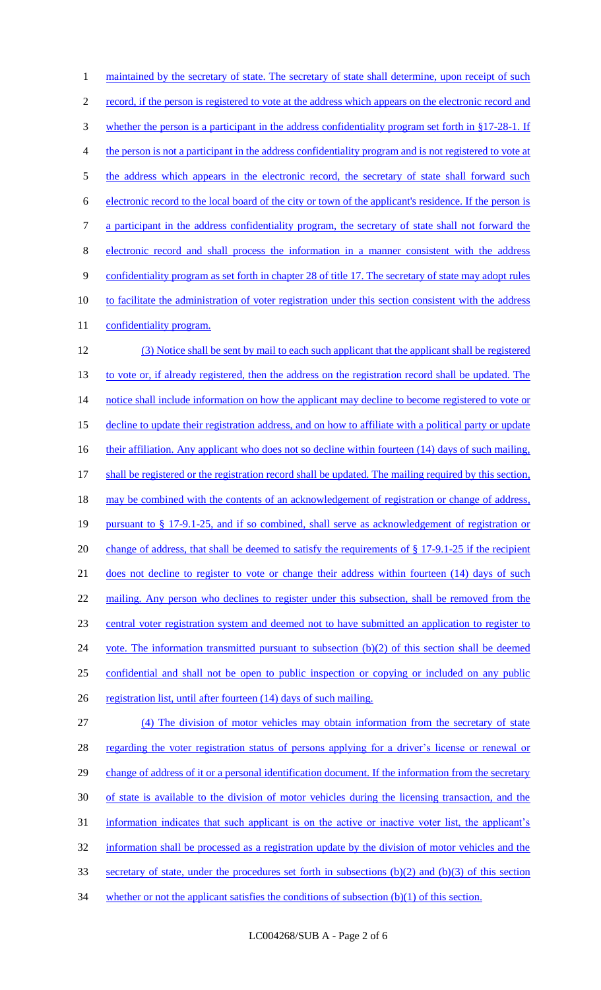1 maintained by the secretary of state. The secretary of state shall determine, upon receipt of such 2 record, if the person is registered to vote at the address which appears on the electronic record and 3 whether the person is a participant in the address confidentiality program set forth in §17-28-1. If 4 the person is not a participant in the address confidentiality program and is not registered to vote at 5 the address which appears in the electronic record, the secretary of state shall forward such 6 electronic record to the local board of the city or town of the applicant's residence. If the person is 7 a participant in the address confidentiality program, the secretary of state shall not forward the 8 electronic record and shall process the information in a manner consistent with the address 9 confidentiality program as set forth in chapter 28 of title 17. The secretary of state may adopt rules 10 to facilitate the administration of voter registration under this section consistent with the address 11 confidentiality program. 12 (3) Notice shall be sent by mail to each such applicant that the applicant shall be registered 13 to vote or, if already registered, then the address on the registration record shall be updated. The 14 notice shall include information on how the applicant may decline to become registered to vote or 15 decline to update their registration address, and on how to affiliate with a political party or update 16 their affiliation. Any applicant who does not so decline within fourteen (14) days of such mailing, 17 shall be registered or the registration record shall be updated. The mailing required by this section, 18 may be combined with the contents of an acknowledgement of registration or change of address, 19 pursuant to § 17-9.1-25, and if so combined, shall serve as acknowledgement of registration or 20 change of address, that shall be deemed to satisfy the requirements of § 17-9.1-25 if the recipient 21 does not decline to register to vote or change their address within fourteen (14) days of such 22 mailing. Any person who declines to register under this subsection, shall be removed from the 23 central voter registration system and deemed not to have submitted an application to register to 24 vote. The information transmitted pursuant to subsection (b)(2) of this section shall be deemed 25 confidential and shall not be open to public inspection or copying or included on any public 26 registration list, until after fourteen (14) days of such mailing. 27 (4) The division of motor vehicles may obtain information from the secretary of state 28 regarding the voter registration status of persons applying for a driver's license or renewal or 29 change of address of it or a personal identification document. If the information from the secretary 30 of state is available to the division of motor vehicles during the licensing transaction, and the 31 information indicates that such applicant is on the active or inactive voter list, the applicant's 32 information shall be processed as a registration update by the division of motor vehicles and the 33 secretary of state, under the procedures set forth in subsections (b)(2) and (b)(3) of this section 34 whether or not the applicant satisfies the conditions of subsection (b)(1) of this section.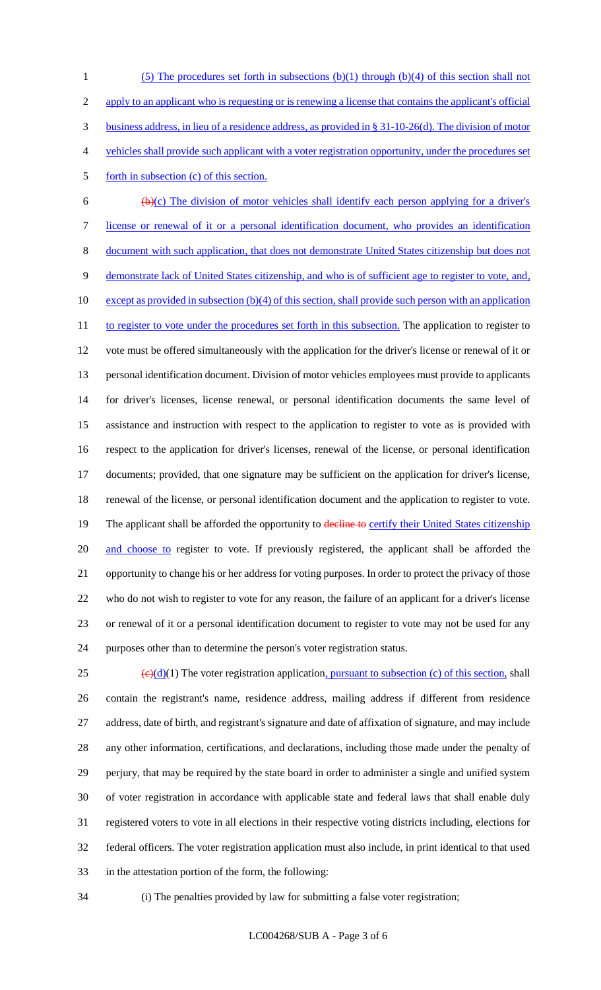(5) The procedures set forth in subsections (b)(1) through (b)(4) of this section shall not 2 apply to an applicant who is requesting or is renewing a license that contains the applicant's official business address, in lieu of a residence address, as provided in § 31-10-26(d). The division of motor vehicles shall provide such applicant with a voter registration opportunity, under the procedures set 5 forth in subsection (c) of this section.

 $6 \left( \frac{b}{c} \right)$  The division of motor vehicles shall identify each person applying for a driver's license or renewal of it or a personal identification document, who provides an identification document with such application, that does not demonstrate United States citizenship but does not demonstrate lack of United States citizenship, and who is of sufficient age to register to vote, and, 10 except as provided in subsection (b)(4) of this section, shall provide such person with an application 11 to register to vote under the procedures set forth in this subsection. The application to register to vote must be offered simultaneously with the application for the driver's license or renewal of it or personal identification document. Division of motor vehicles employees must provide to applicants for driver's licenses, license renewal, or personal identification documents the same level of assistance and instruction with respect to the application to register to vote as is provided with respect to the application for driver's licenses, renewal of the license, or personal identification documents; provided, that one signature may be sufficient on the application for driver's license, renewal of the license, or personal identification document and the application to register to vote. 19 The applicant shall be afforded the opportunity to decline to certify their United States citizenship 20 and choose to register to vote. If previously registered, the applicant shall be afforded the opportunity to change his or her address for voting purposes. In order to protect the privacy of those who do not wish to register to vote for any reason, the failure of an applicant for a driver's license or renewal of it or a personal identification document to register to vote may not be used for any purposes other than to determine the person's voter registration status.

 $\left(\frac{\Theta(d)}{1}\right)$  The voter registration application, pursuant to subsection (c) of this section, shall contain the registrant's name, residence address, mailing address if different from residence address, date of birth, and registrant's signature and date of affixation of signature, and may include any other information, certifications, and declarations, including those made under the penalty of perjury, that may be required by the state board in order to administer a single and unified system of voter registration in accordance with applicable state and federal laws that shall enable duly registered voters to vote in all elections in their respective voting districts including, elections for federal officers. The voter registration application must also include, in print identical to that used in the attestation portion of the form, the following:

(i) The penalties provided by law for submitting a false voter registration;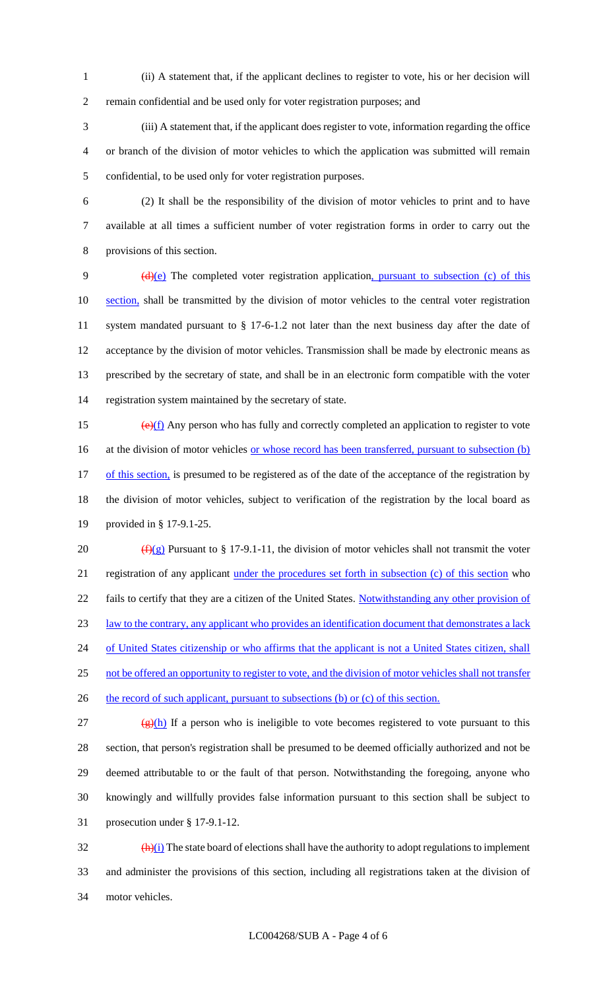(ii) A statement that, if the applicant declines to register to vote, his or her decision will remain confidential and be used only for voter registration purposes; and

 (iii) A statement that, if the applicant does register to vote, information regarding the office or branch of the division of motor vehicles to which the application was submitted will remain confidential, to be used only for voter registration purposes.

 (2) It shall be the responsibility of the division of motor vehicles to print and to have available at all times a sufficient number of voter registration forms in order to carry out the provisions of this section.

9 (d)(e) The completed voter registration application, pursuant to subsection (c) of this 10 section, shall be transmitted by the division of motor vehicles to the central voter registration system mandated pursuant to § 17-6-1.2 not later than the next business day after the date of acceptance by the division of motor vehicles. Transmission shall be made by electronic means as prescribed by the secretary of state, and shall be in an electronic form compatible with the voter registration system maintained by the secretary of state.

15  $\left(\frac{e}{f}\right)$  Any person who has fully and correctly completed an application to register to vote 16 at the division of motor vehicles <u>or whose record has been transferred, pursuant to subsection (b)</u> 17 of this section, is presumed to be registered as of the date of the acceptance of the registration by the division of motor vehicles, subject to verification of the registration by the local board as provided in § 17-9.1-25.

20  $(f)(g)$  Pursuant to § 17-9.1-11, the division of motor vehicles shall not transmit the voter registration of any applicant under the procedures set forth in subsection (c) of this section who 22 fails to certify that they are a citizen of the United States. Notwithstanding any other provision of law to the contrary, any applicant who provides an identification document that demonstrates a lack 24 of United States citizenship or who affirms that the applicant is not a United States citizen, shall not be offered an opportunity to register to vote, and the division of motor vehicles shall not transfer 26 the record of such applicant, pursuant to subsections (b) or (c) of this section. 27 (g)(h) If a person who is ineligible to vote becomes registered to vote pursuant to this

 section, that person's registration shall be presumed to be deemed officially authorized and not be deemed attributable to or the fault of that person. Notwithstanding the foregoing, anyone who knowingly and willfully provides false information pursuant to this section shall be subject to prosecution under § 17-9.1-12.

 $\frac{(\mathbf{h})(i)}{(\mathbf{h})(i)}$  The state board of elections shall have the authority to adopt regulations to implement and administer the provisions of this section, including all registrations taken at the division of motor vehicles.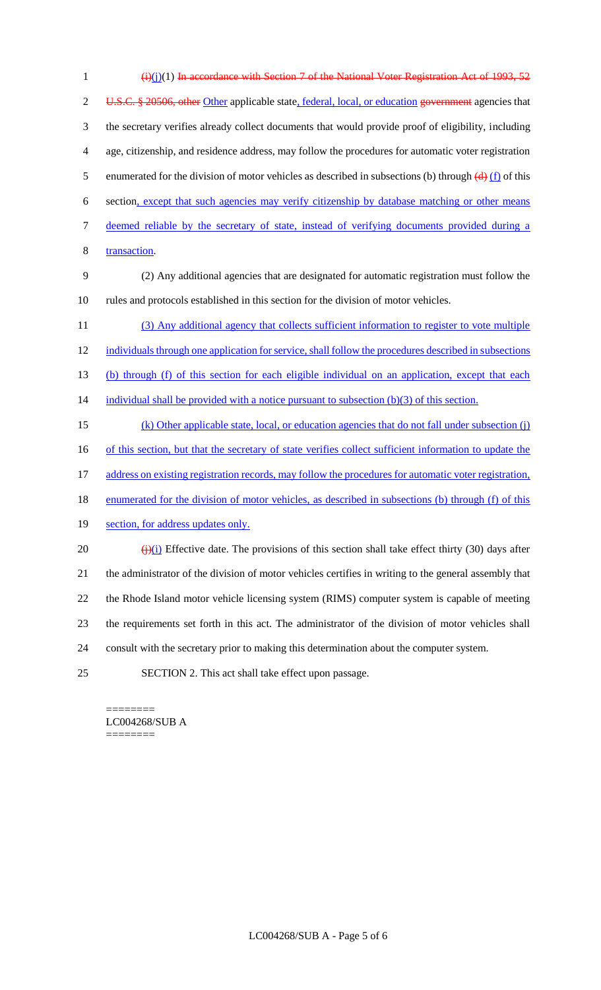| $\mathbf{1}$   | $(i)(i)(1)$ In accordance with Section 7 of the National Voter Registration Act of 1993, 52                                   |
|----------------|-------------------------------------------------------------------------------------------------------------------------------|
| $\overline{2}$ | U.S.C. § 20506, other Other applicable state, federal, local, or education government agencies that                           |
| 3              | the secretary verifies already collect documents that would provide proof of eligibility, including                           |
| 4              | age, citizenship, and residence address, may follow the procedures for automatic voter registration                           |
| 5              | enumerated for the division of motor vehicles as described in subsections (b) through $\left(\frac{d}{dx}\right)$ (f) of this |
| 6              | section, except that such agencies may verify citizenship by database matching or other means                                 |
| 7              | deemed reliable by the secretary of state, instead of verifying documents provided during a                                   |
| 8              | transaction.                                                                                                                  |
| 9              | (2) Any additional agencies that are designated for automatic registration must follow the                                    |
| 10             | rules and protocols established in this section for the division of motor vehicles.                                           |
| 11             | (3) Any additional agency that collects sufficient information to register to vote multiple                                   |
| 12             | individuals through one application for service, shall follow the procedures described in subsections                         |
| 13             | (b) through (f) of this section for each eligible individual on an application, except that each                              |
| 14             | individual shall be provided with a notice pursuant to subsection $(b)(3)$ of this section.                                   |
| 15             | (k) Other applicable state, local, or education agencies that do not fall under subsection (j)                                |
| 16             | of this section, but that the secretary of state verifies collect sufficient information to update the                        |
| 17             | address on existing registration records, may follow the procedures for automatic voter registration,                         |
| 18             | enumerated for the division of motor vehicles, as described in subsections (b) through (f) of this                            |
| 19             | section, for address updates only.                                                                                            |
| 20             | $\frac{f(x)}{g(x)}$ Effective date. The provisions of this section shall take effect thirty (30) days after                   |
| 21             | the administrator of the division of motor vehicles certifies in writing to the general assembly that                         |
| 22             | the Rhode Island motor vehicle licensing system (RIMS) computer system is capable of meeting                                  |
| 23             | the requirements set forth in this act. The administrator of the division of motor vehicles shall                             |
| 24             | consult with the secretary prior to making this determination about the computer system.                                      |
| 25             | SECTION 2. This act shall take effect upon passage.                                                                           |

 $=$ LC004268/SUB A ========